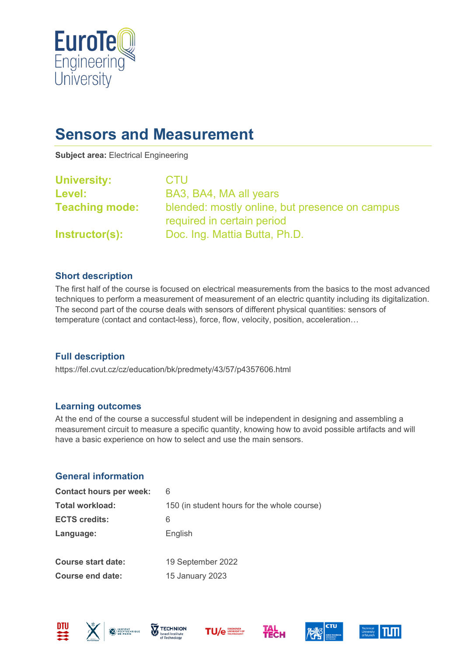

# **Sensors and Measurement**

**Subject area:** Electrical Engineering

| <b>University:</b>    | <b>CTU</b>                                                                   |
|-----------------------|------------------------------------------------------------------------------|
| <b>Level:</b>         | BA3, BA4, MA all years                                                       |
| <b>Teaching mode:</b> | blended: mostly online, but presence on campus<br>required in certain period |
| <b>Instructor(s):</b> | Doc. Ing. Mattia Butta, Ph.D.                                                |

#### **Short description**

The first half of the course is focused on electrical measurements from the basics to the most advanced techniques to perform a measurement of measurement of an electric quantity including its digitalization. The second part of the course deals with sensors of different physical quantities: sensors of temperature (contact and contact-less), force, flow, velocity, position, acceleration…

#### **Full description**

https://fel.cvut.cz/cz/education/bk/predmety/43/57/p4357606.html

#### **Learning outcomes**

At the end of the course a successful student will be independent in designing and assembling a measurement circuit to measure a specific quantity, knowing how to avoid possible artifacts and will have a basic experience on how to select and use the main sensors.

## **General information**

| <b>Contact hours per week:</b> | 6                                           |
|--------------------------------|---------------------------------------------|
| <b>Total workload:</b>         | 150 (in student hours for the whole course) |
| <b>ECTS credits:</b>           | 6                                           |
| Language:                      | English                                     |
|                                |                                             |
| <b>Course start date:</b>      | 19 September 2022                           |
| <b>Course end date:</b>        | 15 January 2023                             |









**Тесн** 



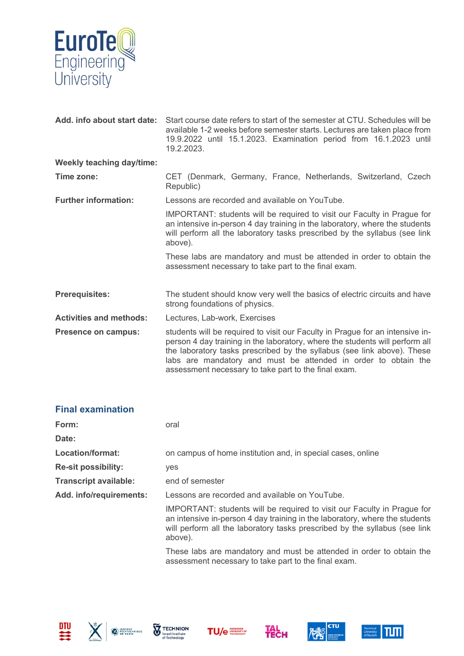

| Add. info about start date:      | Start course date refers to start of the semester at CTU. Schedules will be<br>available 1-2 weeks before semester starts. Lectures are taken place from<br>19.9.2022 until 15.1.2023. Examination period from 16.1.2023 until<br>19.2.2023.                                                                                                                       |  |
|----------------------------------|--------------------------------------------------------------------------------------------------------------------------------------------------------------------------------------------------------------------------------------------------------------------------------------------------------------------------------------------------------------------|--|
| <b>Weekly teaching day/time:</b> |                                                                                                                                                                                                                                                                                                                                                                    |  |
| Time zone:                       | CET (Denmark, Germany, France, Netherlands, Switzerland, Czech<br>Republic)                                                                                                                                                                                                                                                                                        |  |
| <b>Further information:</b>      | Lessons are recorded and available on YouTube.                                                                                                                                                                                                                                                                                                                     |  |
|                                  | IMPORTANT: students will be required to visit our Faculty in Prague for<br>an intensive in-person 4 day training in the laboratory, where the students<br>will perform all the laboratory tasks prescribed by the syllabus (see link<br>above).                                                                                                                    |  |
|                                  | These labs are mandatory and must be attended in order to obtain the<br>assessment necessary to take part to the final exam.                                                                                                                                                                                                                                       |  |
| <b>Prerequisites:</b>            | The student should know very well the basics of electric circuits and have<br>strong foundations of physics.                                                                                                                                                                                                                                                       |  |
| <b>Activities and methods:</b>   | Lectures, Lab-work, Exercises                                                                                                                                                                                                                                                                                                                                      |  |
| <b>Presence on campus:</b>       | students will be required to visit our Faculty in Prague for an intensive in-<br>person 4 day training in the laboratory, where the students will perform all<br>the laboratory tasks prescribed by the syllabus (see link above). These<br>labs are mandatory and must be attended in order to obtain the<br>assessment necessary to take part to the final exam. |  |

| <b>Final examination</b>     |                                                                                                                                                                                                                                                        |
|------------------------------|--------------------------------------------------------------------------------------------------------------------------------------------------------------------------------------------------------------------------------------------------------|
| Form:                        | oral                                                                                                                                                                                                                                                   |
| Date:                        |                                                                                                                                                                                                                                                        |
| Location/format:             | on campus of home institution and, in special cases, online                                                                                                                                                                                            |
| <b>Re-sit possibility:</b>   | <b>ves</b>                                                                                                                                                                                                                                             |
| <b>Transcript available:</b> | end of semester                                                                                                                                                                                                                                        |
| Add. info/requirements:      | Lessons are recorded and available on YouTube.                                                                                                                                                                                                         |
|                              | <b>IMPORTANT:</b> students will be required to visit our Faculty in Prague for<br>an intensive in-person 4 day training in the laboratory, where the students<br>will perform all the laboratory tasks prescribed by the syllabus (see link<br>above). |

These labs are mandatory and must be attended in order to obtain the assessment necessary to take part to the final exam.